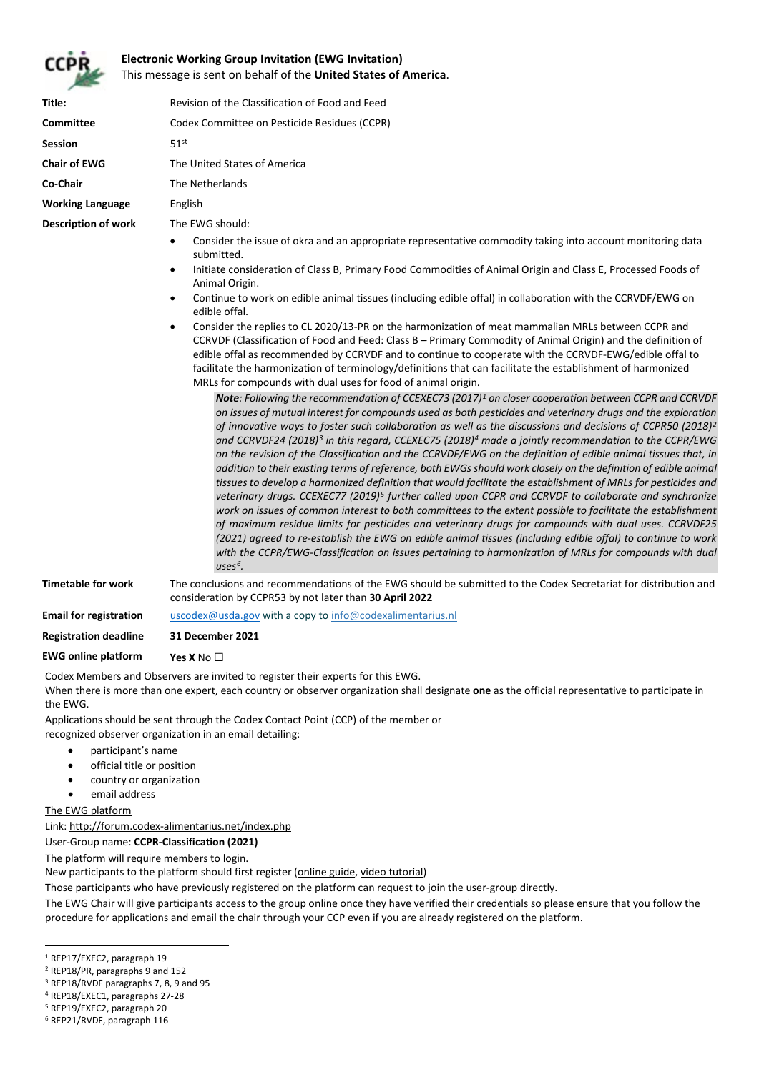

## **Electronic Working Group Invitation (EWG Invitation)** This message is sent on behalf of the **United States of America**.

| Title:                  | Revision of the Classification of Food and Feed |
|-------------------------|-------------------------------------------------|
| <b>Committee</b>        | Codex Committee on Pesticide Residues (CCPR)    |
| <b>Session</b>          | 51 <sup>st</sup>                                |
| <b>Chair of EWG</b>     | The United States of America                    |
| Co-Chair                | The Netherlands                                 |
| <b>Working Language</b> | English                                         |
| Description of work     | The EWG should:                                 |
|                         |                                                 |

- Consider the issue of okra and an appropriate representative commodity taking into account monitoring data submitted.
- Initiate consideration of Class B, Primary Food Commodities of Animal Origin and Class E, Processed Foods of Animal Origin.
- Continue to work on edible animal tissues (including edible offal) in collaboration with the CCRVDF/EWG on edible offal.
- Consider the replies to CL 2020/13-PR on the harmonization of meat mammalian MRLs between CCPR and CCRVDF (Classification of Food and Feed: Class B – Primary Commodity of Animal Origin) and the definition of edible offal as recommended by CCRVDF and to continue to cooperate with the CCRVDF-EWG/edible offal to facilitate the harmonization of terminology/definitions that can facilitate the establishment of harmonized MRLs for compounds with dual uses for food of animal origin.

*Note: Following the recommendation of CCEXEC73 (2017)[1](#page-0-0) on closer cooperation between CCPR and CCRVDF on issues of mutual interest for compounds used as both pesticides and veterinary drugs and the exploration of innovative ways to foster such collaboration as well as the discussions and decisions of CCPR50 (2018)[2](#page-0-1) and CCRVDF24 (2018)[3](#page-0-2) in this regard, CCEXEC75 (2018[\)4](#page-0-3) made a jointly recommendation to the CCPR/EWG on the revision of the Classification and the CCRVDF/EWG on the definition of edible animal tissues that, in addition to their existing terms of reference, both EWGs should work closely on the definition of edible animal tissues to develop a harmonized definition that would facilitate the establishment of MRLs for pesticides and veterinary drugs. CCEXEC77 (2019)[5](#page-0-4) further called upon CCPR and CCRVDF to collaborate and synchronize work on issues of common interest to both committees to the extent possible to facilitate the establishment of maximum residue limits for pesticides and veterinary drugs for compounds with dual uses. CCRVDF25 (2021) agreed to re-establish the EWG on edible animal tissues (including edible offal) to continue to work with the CCPR/EWG-Classification on issues pertaining to harmonization of MRLs for compounds with dual uses[6.](#page-0-5)*

**Timetable for work** The conclusions and recommendations of the EWG should be submitted to the Codex Secretariat for distribution and consideration by CCPR53 by not later than **30 April 2022**

**Email for registration [uscodex@usda.gov](mailto:uscodex@usda.gov)** with a copy to [info@codexalimentarius.nl](mailto:info@codexalimentarius.nl)

**Registration deadline 31 December 2021**

**EWG online platform Yes X** No ☐

Codex Members and Observers are invited to register their experts for this EWG.

When there is more than one expert, each country or observer organization shall designate **one** as the official representative to participate in the EWG.

Applications should be sent through the Codex Contact Point (CCP) of the member or

recognized observer organization in an email detailing:

- participant's name
- official title or position
- country or organization
- email address

The EWG platform

Link[: http://forum.codex-alimentarius.net/index.php](http://forum.codex-alimentarius.net/index.php)

User-Group name: **CCPR-Classification (2021)**

The platform will require members to login.

New participants to the platform should first register [\(online guide,](http://forum.codex-alimentarius.net/viewtopic.php?f=13&t=11) [video tutorial\)](https://youtu.be/EJn9k7wNSwk)

Those participants who have previously registered on the platform can request to join the user-group directly.

The EWG Chair will give participants access to the group online once they have verified their credentials so please ensure that you follow the procedure for applications and email the chair through your CCP even if you are already registered on the platform.

<span id="page-0-0"></span><sup>&</sup>lt;sup>1</sup> REP17/EXEC2, paragraph 19

<span id="page-0-1"></span><sup>2</sup> REP18/PR, paragraphs 9 and 152

<span id="page-0-2"></span><sup>3</sup> REP18/RVDF paragraphs 7, 8, 9 and 95

<span id="page-0-3"></span><sup>4</sup> REP18/EXEC1, paragraphs 27-28

<span id="page-0-4"></span><sup>5</sup> REP19/EXEC2, paragraph 20

<span id="page-0-5"></span><sup>6</sup> REP21/RVDF, paragraph 116